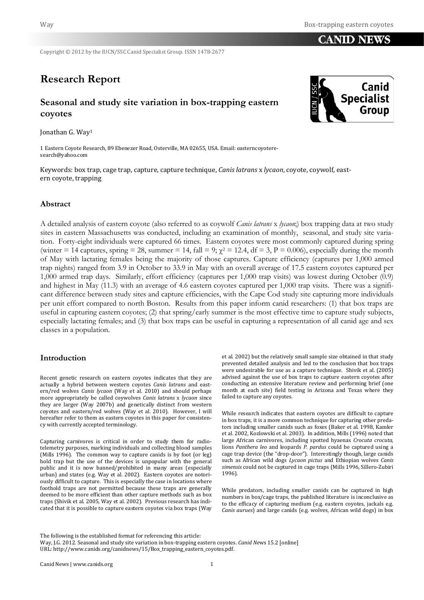**CANID NEWS** 

Copyright © 2012 by the IUCN/SSC Canid Specialist Group. ISSN 1478-2677

# **Research Report**

# **Seasonal and study site variation in box-trapping eastern coyotes**

Jonathan G. Way1

1 Eastern Coyote Research, 89 Ebenezer Road, Osterville, MA 02655, USA. Email: easterncoyoteresearch@yahoo.com

Keywords: box trap, cage trap, capture, capture technique, *Canis latrans* x *lycaon*, coyote, coywolf, eastern coyote, trapping

#### **Abstract**

A detailed analysis of eastern coyote (also referred to as coywolf *Canis latrans* x *lycaon*;) box trapping data at two study sites in eastern Massachusetts was conducted, including an examination of monthly, seasonal, and study site variation. Forty-eight individuals were captured 66 times. Eastern coyotes were most commonly captured during spring (winter = 14 captures, spring = 28, summer = 14, fall = 9;  $\chi^2$  = 12.4, df = 3, P = 0.006), especially during the month of May with lactating females being the majority of those captures. Capture efficiency (captures per 1,000 armed trap nights) ranged from 3.9 in October to 33.9 in May with an overall average of 17.5 eastern coyotes captured per 1,000 armed trap days. Similarly, effort efficiency (captures per 1,000 trap visits) was lowest during October (0.9) and highest in May (11.3) with an average of 4.6 eastern coyotes captured per 1,000 trap visits. There was a significant difference between study sites and capture efficiencies, with the Cape Cod study site capturing more individuals per unit effort compared to north Boston. Results from this paper inform canid researchers: (1) that box traps are useful in capturing eastern coyotes; (2) that spring/early summer is the most effective time to capture study subjects, especially lactating females; and (3) that box traps can be useful in capturing a representation of all canid age and sex classes in a population.

#### **Introduction**

Recent genetic research on eastern coyotes indicates that they are actually a hybrid between western coyotes *Canis latrans* and eastern/red wolves *Canis lycaon* (Way et al. 2010) and should perhaps more appropriately be called coywolves *Canis latrans* x *lycaon* since they are larger (Way 2007b) and genetically distinct from western coyotes and eastern/red wolves (Way et al. 2010). However, I will hereafter refer to them as eastern coyotes in this paper for consistency with currently accepted terminology.

Capturing carnivores is critical in order to study them for radiotelemetry purposes, marking individuals and collecting blood samples (Mills 1996). The common way to capture canids is by foot (or leg) hold trap but the use of the devices is unpopular with the general public and it is now banned/prohibited in many areas (especially urban) and states (e.g. Way et al. 2002). Eastern coyotes are notoriously difficult to capture. This is especially the case in locations where foothold traps are not permitted because these traps are generally deemed to be more efficient than other capture methods such as box traps (Shivik et al. 2005, Way et al. 2002). Previous research has indicated that it is possible to capture eastern coyotes via box traps (Way

et al. 2002) but the relatively small sample size obtained in that study prevented detailed analysis and led to the conclusion that box traps were undesirable for use as a capture technique. Shivik et al. (2005) advised against the use of box traps to capture eastern coyotes after conducting an extensive literature review and performing brief (one month at each site) field testing in Arizona and Texas where they failed to capture any coyotes.

While research indicates that eastern coyotes are difficult to capture in box traps, it is a more common technique for capturing other predators including smaller canids such as foxes (Baker et al. 1998, Kamler et al. 2002, Kozlowski et al. 2003). In addition, Mills (1996) noted that large African carnivores, including spotted hyaenas *Crocuta crocuta*, lions *Panthera leo* and leopards *P. pardus* could be captured using a cage trap device (the "drop-door"). Interestingly though, large canids such as African wild dogs *Lycaon pictus* and Ethiopian wolves *Canis simensis* could not be captured in cage traps (Mills 1996, Sillero-Zubiri 1996).

While predators, including smaller canids can be captured in high numbers in box/cage traps, the published literature is inconclusive as to the efficacy of capturing medium (e.g. eastern coyotes, jackals e.g. *Canis aurues*) and large canids (e.g. wolves, African wild dogs) in box



The following is the established format for referencing this article:

Way, J.G. 2012. Seasonal and study site variation in box-trapping eastern coyotes. *Canid Ne*ws 15.2 [online] URL: http://www.canids.org/canidnews/15/Box\_trapping\_eastern\_coyotes.pdf.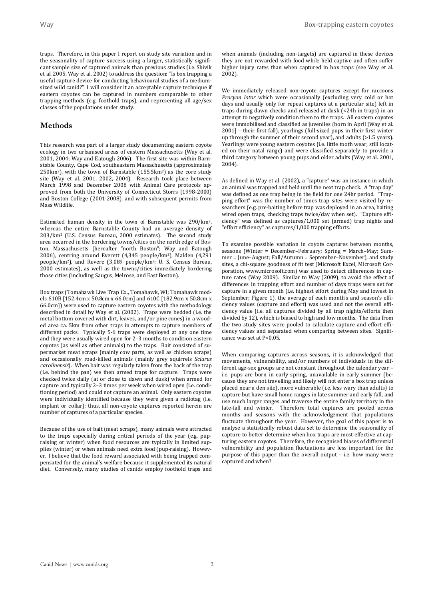traps. Therefore, in this paper I report on study site variation and in the seasonality of capture success using a larger, statistically significant sample size of captured animals than previous studies (i.e. Shivik et al. 2005, Way et al. 2002) to address the question: "Is box trapping a useful capture device for conducting behavioural studies of a mediumsized wild canid?" I will consider it an acceptable capture technique if eastern coyotes can be captured in numbers comparable to other trapping methods (e.g. foothold traps), and representing all age/sex classes of the populations under study.

#### **Methods**

This research was part of a larger study documenting eastern coyote ecology in two urbanised areas of eastern Massachusetts (Way et al. 2001, 2004; Way and Eatough 2006). The first site was within Barnstable County, Cape Cod, southeastern Massachusetts (approximately 250km2), with the town of Barnstable (155.5km2) as the core study site (Way et al. 2001, 2002, 2004). Research took place between March 1998 and December 2008 with Animal Care protocols approved from both the University of Connecticut Storrs (1998-2000) and Boston College (2001-2008), and with subsequent permits from Mass Wildlife.

Estimated human density in the town of Barnstable was 290/km2, whereas the entire Barnstable County had an average density of 203/km2 (U.S. Census Bureau, 2000 estimates). The second study area occurred in the bordering towns/cities on the north edge of Boston, Massachusetts (hereafter "north Boston"; Way and Eatough 2006), centring around Everett (4,345 people/km2), Malden (4,291 people/km2), and Revere (3,089 people/km2; U. S. Census Bureau, 2000 estimates), as well as the towns/cities immediately bordering those cities (including Saugus, Melrose, and East Boston).

Box traps (Tomahawk Live Trap Co., Tomahawk, WI; Tomahawk models 610B [152.4cm x 50.8cm x 66.0cm] and 610C [182.9cm x 50.8cm x 66.0cm]) were used to capture eastern coyotes with the methodology described in detail by Way et al. (2002). Traps were bedded (i.e. the metal bottom covered with dirt, leaves, and/or pine cones) in a wooded area ca. 5km from other traps in attempts to capture members of different packs. Typically 5-6 traps were deployed at any one time and they were usually wired open for 2–3 months to condition eastern coyotes (as well as other animals) to the traps. Bait consisted of supermarket meat scraps (mainly cow parts, as well as chicken scraps) and occasionally road-killed animals (mainly grey squirrels *Sciurus carolinensis*). When bait was regularly taken from the back of the trap (i.e. behind the pan) we then armed traps for capture. Traps were checked twice daily (at or close to dawn and dusk) when armed for capture and typically 2–3 times per week when wired open (i.e. conditioning period) and could not capture an animal. Only eastern coyotes were individually identified because they were given a radiotag (i.e. implant or collar); thus, all non-coyote captures reported herein are number of captures of a particular species.

Because of the use of bait (meat scraps), many animals were attracted to the traps especially during critical periods of the year (e.g. pupraising or winter) when food resources are typically in limited supplies (winter) or when animals need extra food (pup-raising). However, I believe that the food reward associated with being trapped compensated for the animal's welfare because it supplemented its natural diet. Conversely, many studies of canids employ foothold traps and when animals (including non-targets) are captured in these devices they are not rewarded with food while held captive and often suffer higher injury rates than when captured in box traps (see Way et al. 2002).

We immediately released non-coyote captures except for raccoons *Procyon lotor* which were occasionally (excluding very cold or hot days and usually only for repeat captures at a particular site) left in traps during dawn checks and released at dusk (<24h in traps) in an attempt to negatively condition them to the traps. All eastern coyotes were immobilised and classified as juveniles (born in April [Way et al. 2001] – their first fall), yearlings (full-sized pups in their first winter up through the summer of their second year), and adults (>1.5 years). Yearlings were young eastern coyotes (i.e. little tooth wear, still located on their natal range) and were classified separately to provide a third category between young pups and older adults (Way et al. 2001, 2004).

As defined in Way et al. (2002), a "capture" was an instance in which an animal was trapped and held until the next trap check. A "trap day" was defined as one trap being in the field for one 24hr period. "Trapping effort" was the number of times trap sites were visited by researchers (e.g. pre-baiting before trap was deployed in an area, baiting wired open traps, checking traps twice/day when set). "Capture efficiency" was defined as captures/1,000 set (armed) trap nights and "effort efficiency" as captures/1,000 trapping efforts.

To examine possible variation in coyote captures between months, seasons (Winter = December–February; Spring = March–May; Summer = June–August; Fall/Autumn = September–November), and study sites, a chi-square goodness of fit test (Microsoft Excel, Microsoft Corporation, www.microsoft.com) was used to detect differences in capture rates (Way 2009). Similar to Way (2009), to avoid the effect of differences in trapping effort and number of days traps were set for capture in a given month (i.e. highest effort during May and lowest in September; Figure 1), the average of each month's and season's efficiency values (capture and effort) was used and not the overall efficiency value (i.e. all captures divided by all trap nights/efforts then divided by 12), which is biased to high and low months. The data from the two study sites were pooled to calculate capture and effort efficiency values and separated when comparing between sites. Significance was set at P<0.05.

When comparing captures across seasons, it is acknowledged that movements, vulnerability, and/or numbers of individuals in the different age-sex groups are not constant throughout the calendar year – i.e. pups are born in early spring, unavailable in early summer (because they are not travelling and likely will not enter a box trap unless placed near a den site), more vulnerable (i.e. less wary than adults) to capture but have small home ranges in late summer and early fall, and use much larger ranges and traverse the entire family territory in the late-fall and winter. Therefore total captures are pooled across months and seasons with the acknowledgement that populations fluctuate throughout the year. However, the goal of this paper is to analyse a statistically robust data set to determine the seasonality of capture to better determine when box traps are most effective at capturing eastern coyotes. Therefore, the recognised biases of differential vulnerability and population fluctuations are less important for the purpose of this paper than the overall output – i.e. how many were captured and when?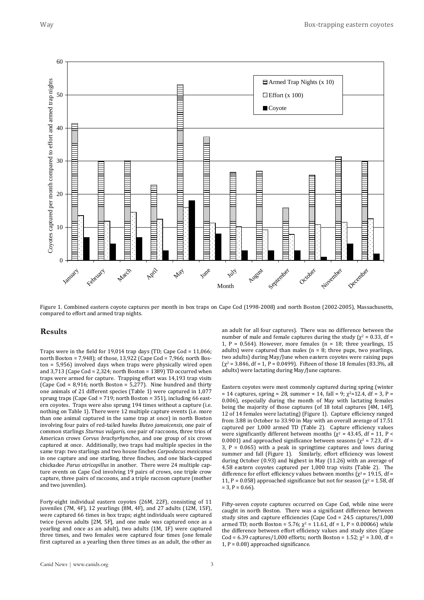

Figure 1. Combined eastern coyote captures per month in box traps on Cape Cod (1998-2008) and north Boston (2002-2005), Massachusetts, compared to effort and armed trap nights.

#### **Results**

Traps were in the field for 19,014 trap days (TD; Cape Cod = 11,066; north Boston = 7,948); of those, 13,922 (Cape Cod = 7,966; north Boston = 5,956) involved days when traps were physically wired open and  $3,713$  (Cape Cod = 2,324; north Boston = 1389) TD occurred when traps were armed for capture. Trapping effort was 14,193 trap visits (Cape Cod = 8,916; north Boston = 5,277). Nine hundred and thirty one animals of 21 different species (Table 1) were captured in 1,077 sprung traps (Cape Cod = 719; north Boston = 351), including 66 eastern coyotes. Traps were also sprung 194 times without a capture (i.e. nothing on Table 1). There were 12 multiple capture events (i.e. more than one animal captured in the same trap at once) in north Boston involving four pairs of red-tailed hawks *Buteo jamaicensis*, one pair of common starlings *Sturnus vulgaris*, one pair of raccoons, three trios of American crows *Corvus brachyrhynchos*, and one group of six crows captured at once. Additionally, two traps had multiple species in the same trap: two starlings and two house finches *Carpodacus mexicanus* in one capture and one starling, three finches, and one black-capped chickadee *Parus atricapillus* in another. There were 24 multiple capture events on Cape Cod involving 19 pairs of crows, one triple crow capture, three pairs of raccoons, and a triple raccoon capture (mother and two juveniles).

Forty-eight individual eastern coyotes (26M, 22F), consisting of 11 juveniles (7M, 4F), 12 yearlings (8M, 4F), and 27 adults (12M, 15F), were captured 66 times in box traps; eight individuals were captured twice (seven adults [2M, 5F], and one male was captured once as a yearling and once as an adult), two adults (1M, 1F) were captured three times, and two females were captured four times (one female first captured as a yearling then three times as an adult, the other as an adult for all four captures). There was no difference between the number of male and female captures during the study ( $χ² = 0.33$ , df = 1, P = 0.564). However, more females ( $n = 18$ ; three yearlings, 15 adults) were captured than males  $(n = 8$ ; three pups, two vearlings, two adults) during May/June when eastern coyotes were raising pups  $(\chi^2 = 3.846, df = 1, P = 0.0499)$ . Fifteen of those 18 females (83.3%, all adults) were lactating during May/June captures.

Eastern coyotes were most commonly captured during spring (winter = 14 captures, spring = 28, summer = 14, fall = 9;  $\chi^2$ =12.4, df = 3, P = 0.006), especially during the month of May with lactating females being the majority of those captures (of 18 total captures [4M, 14F], 12 of 14 females were lactating) (Figure 1). Capture efficiency ranged from 3.88 in October to 33.90 in May with an overall average of 17.51 captured per 1,000 armed TD (Table 2). Capture efficiency values were significantly different between months ( $\chi^2$  = 43.45, df = 11, P < 0.0001) and approached significance between seasons ( $\chi^2$  = 7.23, df = 3,  $P = 0.065$ ) with a peak in springtime captures and lows during summer and fall (Figure 1). Similarly, effort efficiency was lowest during October (0.93) and highest in May (11.26) with an average of 4.58 eastern coyotes captured per 1,000 trap visits (Table 2). The difference for effort efficiency values between months ( $\chi^2$  = 19.15, df = 11, P = 0.058) approached significance but not for season ( $\chi^2$  = 1.58, df  $= 3, P = 0.66$ .

Fifty-seven coyote captures occurred on Cape Cod, while nine were caught in north Boston. There was a significant difference between study sites and capture efficiencies (Cape Cod = 24.5 captures/1,000 armed TD; north Boston = 5.76;  $\chi^2$  = 11.61, df = 1, P = 0.00066) while the difference between effort efficiency values and study sites (Cape Cod = 6.39 captures/1,000 efforts; north Boston = 1.52;  $\chi^2$  = 3.00, df = 1,  $P = 0.08$ ) approached significance.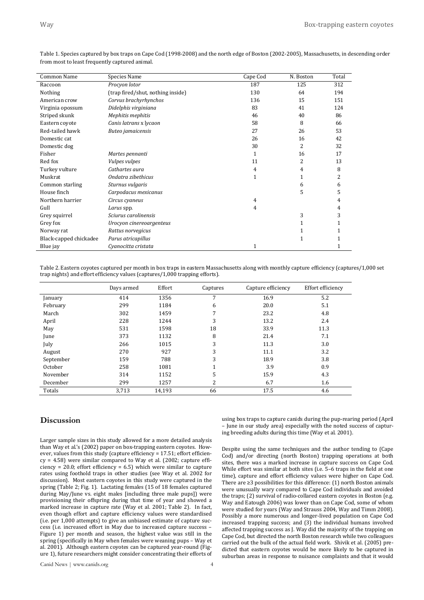| Common Name            | Species Name                      | Cape Cod     | N. Boston | Total |
|------------------------|-----------------------------------|--------------|-----------|-------|
| Raccoon                | Procyon lotor                     | 187          | 125       | 312   |
| Nothing                | (trap fired/shut, nothing inside) | 130          | 64        | 194   |
| American crow          | Corvus brachyrhynchos             | 136          | 15        | 151   |
| Virginia opossum       | Didelphis virginiana              | 83           | 41        | 124   |
| Striped skunk          | Mephitis mephitis                 | 46           | 40        | 86    |
| Eastern coyote         | Canis latrans x lycaon            | 58           | 8         | 66    |
| Red-tailed hawk        | Buteo jamaicensis                 | 27           | 26        | 53    |
| Domestic cat           |                                   | 26           | 16        | 42    |
| Domestic dog           |                                   | 30           | 2         | 32    |
| Fisher                 | Martes pennanti                   | 1            | 16        | 17    |
| Red fox                | Vulpes vulpes                     | 11           | 2         | 13    |
| Turkey vulture         | Cathartes aura                    | 4            | 4         | 8     |
| Muskrat                | Ondatra zibethicus                | $\mathbf{1}$ | 1         | 2     |
| Common starling        | Sturnus vulgaris                  |              | 6         | 6     |
| House finch            | Carpodacus mexicanus              |              | 5         | 5     |
| Northern harrier       | Circus cyaneus                    | 4            |           | 4     |
| Gull                   | Larus spp.                        | 4            |           | 4     |
| Grey squirrel          | Sciurus carolinensis              |              | 3         | 3     |
| Grey fox               | Urocyon cinereoargenteus          |              | 1         |       |
| Norway rat             | Rattus norvegicus                 |              |           |       |
| Black-capped chickadee | Parus atricapillus                |              | 1         |       |
| Blue jay               | Cyanocitta cristata               | 1            |           |       |

Table 1. Species captured by box traps on Cape Cod (1998-2008) and the north edge of Boston (2002-2005), Massachusetts, in descending order from most to least frequently captured animal.

Table 2. Eastern coyotes captured per month in box traps in eastern Massachusetts along with monthly capture efficiency (captures/1,000 set trap nights) and effort efficiency values (captures/1,000 trapping efforts).

|           | Days armed | Effort | Captures | Capture efficiency | Effort efficiency |
|-----------|------------|--------|----------|--------------------|-------------------|
| January   | 414        | 1356   | 7        | 16.9               | 5.2               |
| February  | 299        | 1184   | 6        | 20.0               | 5.1               |
| March     | 302        | 1459   | 7        | 23.2               | 4.8               |
| April     | 228        | 1244   | 3        | 13.2               | 2.4               |
| May       | 531        | 1598   | 18       | 33.9               | 11.3              |
| June      | 373        | 1132   | 8        | 21.4               | 7.1               |
| July      | 266        | 1015   | 3        | 11.3               | 3.0               |
| August    | 270        | 927    | 3        | 11.1               | 3.2               |
| September | 159        | 788    | 3        | 18.9               | 3.8               |
| October   | 258        | 1081   | 1        | 3.9                | 0.9               |
| November  | 314        | 1152   | 5        | 15.9               | 4.3               |
| December  | 299        | 1257   | 2        | 6.7                | 1.6               |
| Totals    | 3,713      | 14,193 | 66       | 17.5               | 4.6               |

# **Discussion**

Larger sample sizes in this study allowed for a more detailed analysis than Way et al.'s (2002) paper on box-trapping eastern coyotes. However, values from this study (capture efficiency = 17.51; effort efficien $cy = 4.58$ ) were similar compared to Way et al. (2002; capture efficiency = 20.0; effort efficiency = 6.5) which were similar to capture rates using foothold traps in other studies (see Way et al. 2002 for discussion). Most eastern coyotes in this study were captured in the spring (Table 2; Fig. 1). Lactating females (15 of 18 females captured during May/June vs. eight males [including three male pups]) were provisioning their offspring during that time of year and showed a marked increase in capture rate (Way et al. 2001; Table 2). In fact, even though effort and capture efficiency values were standardised (i.e. per 1,000 attempts) to give an unbiased estimate of capture success (i.e. increased effort in May due to increased capture success – Figure 1) per month and season, the highest value was still in the spring (specifically in May when females were weaning pups – Way et al. 2001). Although eastern coyotes can be captured year-round (Figure 1), future researchers might consider concentrating their efforts of

using box traps to capture canids during the pup-rearing period (April – June in our study area) especially with the noted success of capturing breeding adults during this time (Way et al. 2001).

Despite using the same techniques and the author tending to (Cape Cod) and/or directing (north Boston) trapping operations at both sites, there was a marked increase in capture success on Cape Cod. While effort was similar at both sites (i.e. 5–6 traps in the field at one time), capture and effort efficiency values were higher on Cape Cod. There are ≥3 possibilities for this difference: (1) north Boston animals were unusually wary compared to Cape Cod individuals and avoided the traps; (2) survival of radio-collared eastern coyotes in Boston (e.g. Way and Eatough 2006) was lower than on Cape Cod, some of whom were studied for years (Way and Strauss 2004, Way and Timm 2008). Possibly a more numerous and longer-lived population on Cape Cod increased trapping success; and (3) the individual humans involved affected trapping success as J. Way did the majority of the trapping on Cape Cod, but directed the north Boston research while two colleagues carried out the bulk of the actual field work. Shivik et al. (2005) predicted that eastern coyotes would be more likely to be captured in suburban areas in response to nuisance complaints and that it would